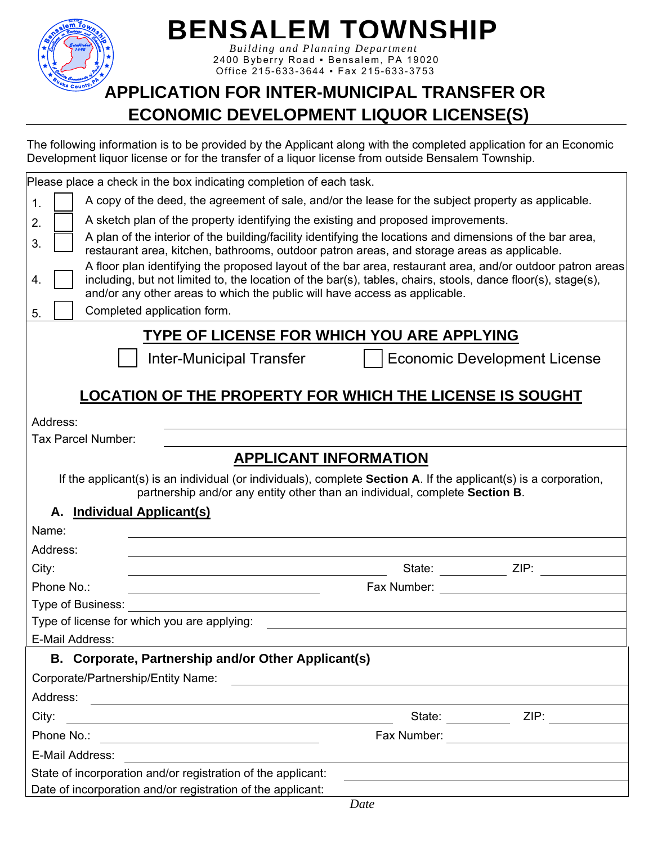

# **BENSALEM TOWNSHIP**

 *Building and Planning Department*  2400 Byberry Road ▪ Bensalem, PA 19020 Office 215-633-3644 ▪ Fax 215-633-3753

#### **APPLICATION FOR INTER-MUNICIPAL TRANSFER OR ECONOMIC DEVELOPMENT LIQUOR LICENSE(S)**

The following information is to be provided by the Applicant along with the completed application for an Economic Development liquor license or for the transfer of a liquor license from outside Bensalem Township.

|                    | Please place a check in the box indicating completion of each task.                                                                                                                                                                                                                                      |                                                                                                                                                                                                                                |  |
|--------------------|----------------------------------------------------------------------------------------------------------------------------------------------------------------------------------------------------------------------------------------------------------------------------------------------------------|--------------------------------------------------------------------------------------------------------------------------------------------------------------------------------------------------------------------------------|--|
| 1.                 | A copy of the deed, the agreement of sale, and/or the lease for the subject property as applicable.                                                                                                                                                                                                      |                                                                                                                                                                                                                                |  |
| 2.                 | A sketch plan of the property identifying the existing and proposed improvements.                                                                                                                                                                                                                        |                                                                                                                                                                                                                                |  |
| 3.                 | A plan of the interior of the building/facility identifying the locations and dimensions of the bar area,<br>restaurant area, kitchen, bathrooms, outdoor patron areas, and storage areas as applicable.                                                                                                 |                                                                                                                                                                                                                                |  |
| 4.                 | A floor plan identifying the proposed layout of the bar area, restaurant area, and/or outdoor patron areas<br>including, but not limited to, the location of the bar(s), tables, chairs, stools, dance floor(s), stage(s),<br>and/or any other areas to which the public will have access as applicable. |                                                                                                                                                                                                                                |  |
| 5.                 | Completed application form.                                                                                                                                                                                                                                                                              |                                                                                                                                                                                                                                |  |
|                    | TYPE OF LICENSE FOR WHICH YOU ARE APPLYING                                                                                                                                                                                                                                                               |                                                                                                                                                                                                                                |  |
|                    | <b>Inter-Municipal Transfer</b>                                                                                                                                                                                                                                                                          | <b>Economic Development License</b>                                                                                                                                                                                            |  |
|                    |                                                                                                                                                                                                                                                                                                          |                                                                                                                                                                                                                                |  |
|                    | <b>LOCATION OF THE PROPERTY FOR WHICH THE LICENSE IS SOUGHT</b>                                                                                                                                                                                                                                          |                                                                                                                                                                                                                                |  |
| Address:           |                                                                                                                                                                                                                                                                                                          |                                                                                                                                                                                                                                |  |
| Tax Parcel Number: |                                                                                                                                                                                                                                                                                                          |                                                                                                                                                                                                                                |  |
|                    | <b>APPLICANT INFORMATION</b>                                                                                                                                                                                                                                                                             |                                                                                                                                                                                                                                |  |
|                    | If the applicant(s) is an individual (or individuals), complete <b>Section A</b> . If the applicant(s) is a corporation,<br>partnership and/or any entity other than an individual, complete Section B.                                                                                                  |                                                                                                                                                                                                                                |  |
| А.                 | <b>Individual Applicant(s)</b>                                                                                                                                                                                                                                                                           |                                                                                                                                                                                                                                |  |
| Name:              |                                                                                                                                                                                                                                                                                                          |                                                                                                                                                                                                                                |  |
| Address:           |                                                                                                                                                                                                                                                                                                          |                                                                                                                                                                                                                                |  |
| City:              |                                                                                                                                                                                                                                                                                                          | State: _______________ ZIP: _________                                                                                                                                                                                          |  |
| Phone No.:         |                                                                                                                                                                                                                                                                                                          | Fax Number: The contract of the contract of the contract of the contract of the contract of the contract of the contract of the contract of the contract of the contract of the contract of the contract of the contract of th |  |
| Type of Business:  |                                                                                                                                                                                                                                                                                                          |                                                                                                                                                                                                                                |  |
|                    | Type of license for which you are applying:                                                                                                                                                                                                                                                              |                                                                                                                                                                                                                                |  |
| E-Mail Address:    |                                                                                                                                                                                                                                                                                                          |                                                                                                                                                                                                                                |  |
|                    | B. Corporate, Partnership and/or Other Applicant(s)                                                                                                                                                                                                                                                      |                                                                                                                                                                                                                                |  |
|                    | Corporate/Partnership/Entity Name:<br><u> 1989 - Andrea Station Barbara, amerikan personal (h. 1989)</u>                                                                                                                                                                                                 |                                                                                                                                                                                                                                |  |
| Address:           | <u> 1989 - Johann Stoff, deutscher Stoffen und der Stoffen und der Stoffen und der Stoffen und der Stoffen und der</u>                                                                                                                                                                                   |                                                                                                                                                                                                                                |  |
| City:              | <u> 1980 - Andrea Andrew Maria (h. 1980).</u>                                                                                                                                                                                                                                                            | State: <u>ZIP:</u>                                                                                                                                                                                                             |  |
| Phone No.:         | <u> 1989 - Johann Stein, mars an deutscher Stein († 1989)</u>                                                                                                                                                                                                                                            |                                                                                                                                                                                                                                |  |
| E-Mail Address:    |                                                                                                                                                                                                                                                                                                          |                                                                                                                                                                                                                                |  |
|                    | State of incorporation and/or registration of the applicant:                                                                                                                                                                                                                                             |                                                                                                                                                                                                                                |  |
|                    | Date of incorporation and/or registration of the applicant:                                                                                                                                                                                                                                              |                                                                                                                                                                                                                                |  |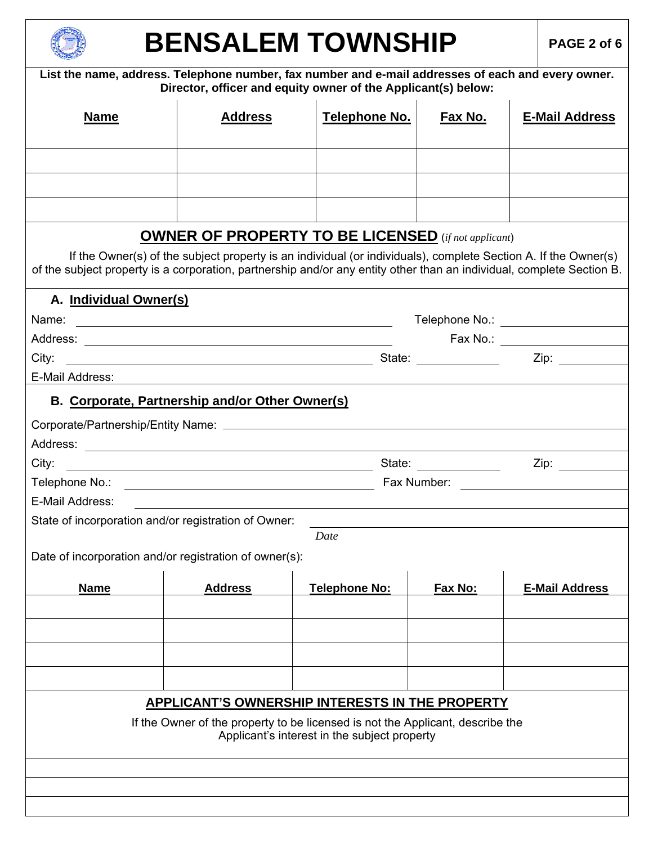

# **BENSALEM TOWNSHIP** PAGE 2 of 6

| List the name, address. Telephone number, fax number and e-mail addresses of each and every owner.<br>Director, officer and equity owner of the Applicant(s) below:                                                                     |                                                         |                                                                                                                                   |         |                                      |
|-----------------------------------------------------------------------------------------------------------------------------------------------------------------------------------------------------------------------------------------|---------------------------------------------------------|-----------------------------------------------------------------------------------------------------------------------------------|---------|--------------------------------------|
| <b>Name</b>                                                                                                                                                                                                                             | <b>Address</b>                                          | Telephone No.                                                                                                                     | Fax No. | <b>E-Mail Address</b>                |
|                                                                                                                                                                                                                                         |                                                         |                                                                                                                                   |         |                                      |
|                                                                                                                                                                                                                                         |                                                         |                                                                                                                                   |         |                                      |
|                                                                                                                                                                                                                                         |                                                         |                                                                                                                                   |         |                                      |
|                                                                                                                                                                                                                                         |                                                         | <b>OWNER OF PROPERTY TO BE LICENSED</b> (if not applicant)                                                                        |         |                                      |
| If the Owner(s) of the subject property is an individual (or individuals), complete Section A. If the Owner(s)<br>of the subject property is a corporation, partnership and/or any entity other than an individual, complete Section B. |                                                         |                                                                                                                                   |         |                                      |
| A. Individual Owner(s)                                                                                                                                                                                                                  |                                                         |                                                                                                                                   |         |                                      |
| Name:                                                                                                                                                                                                                                   | <u> 1980 - Johann Barnett, fransk politik (d. 1980)</u> |                                                                                                                                   |         | Telephone No.: _____________________ |
|                                                                                                                                                                                                                                         |                                                         |                                                                                                                                   |         |                                      |
| City:<br>E-Mail Address:                                                                                                                                                                                                                |                                                         |                                                                                                                                   |         |                                      |
|                                                                                                                                                                                                                                         |                                                         |                                                                                                                                   |         |                                      |
| B. Corporate, Partnership and/or Other Owner(s)                                                                                                                                                                                         |                                                         |                                                                                                                                   |         |                                      |
|                                                                                                                                                                                                                                         |                                                         |                                                                                                                                   |         |                                      |
| City:                                                                                                                                                                                                                                   |                                                         |                                                                                                                                   |         |                                      |
|                                                                                                                                                                                                                                         |                                                         |                                                                                                                                   |         |                                      |
| E-Mail Address:                                                                                                                                                                                                                         |                                                         | <u> 1980 - John Stein, Amerikaansk politiker († 1908)</u>                                                                         |         |                                      |
| State of incorporation and/or registration of Owner:                                                                                                                                                                                    |                                                         |                                                                                                                                   |         |                                      |
|                                                                                                                                                                                                                                         |                                                         | Date                                                                                                                              |         |                                      |
| Date of incorporation and/or registration of owner(s):                                                                                                                                                                                  |                                                         |                                                                                                                                   |         |                                      |
|                                                                                                                                                                                                                                         |                                                         |                                                                                                                                   |         |                                      |
| <b>Name</b>                                                                                                                                                                                                                             | <b>Address</b>                                          | <b>Telephone No:</b>                                                                                                              | Fax No: | <b>E-Mail Address</b>                |
|                                                                                                                                                                                                                                         |                                                         |                                                                                                                                   |         |                                      |
|                                                                                                                                                                                                                                         |                                                         |                                                                                                                                   |         |                                      |
|                                                                                                                                                                                                                                         |                                                         |                                                                                                                                   |         |                                      |
|                                                                                                                                                                                                                                         |                                                         |                                                                                                                                   |         |                                      |
|                                                                                                                                                                                                                                         |                                                         | APPLICANT'S OWNERSHIP INTERESTS IN THE PROPERTY<br>If the Owner of the property to be licensed is not the Applicant, describe the |         |                                      |
|                                                                                                                                                                                                                                         |                                                         | Applicant's interest in the subject property                                                                                      |         |                                      |
|                                                                                                                                                                                                                                         |                                                         |                                                                                                                                   |         |                                      |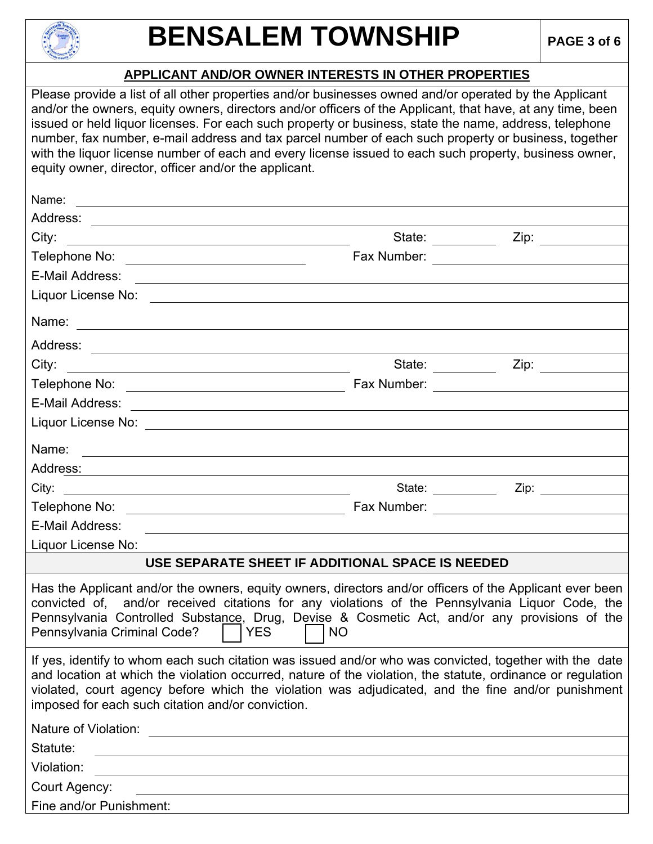

#### **APPLICANT AND/OR OWNER INTERESTS IN OTHER PROPERTIES**

Please provide a list of all other properties and/or businesses owned and/or operated by the Applicant and/or the owners, equity owners, directors and/or officers of the Applicant, that have, at any time, been issued or held liquor licenses. For each such property or business, state the name, address, telephone number, fax number, e-mail address and tax parcel number of each such property or business, together with the liquor license number of each and every license issued to each such property, business owner, equity owner, director, officer and/or the applicant.

| Name:                                                                                                                                                                                                                                                                                                                                                                            |                                                                                                                                                                                                                               |                                              |  |
|----------------------------------------------------------------------------------------------------------------------------------------------------------------------------------------------------------------------------------------------------------------------------------------------------------------------------------------------------------------------------------|-------------------------------------------------------------------------------------------------------------------------------------------------------------------------------------------------------------------------------|----------------------------------------------|--|
|                                                                                                                                                                                                                                                                                                                                                                                  |                                                                                                                                                                                                                               |                                              |  |
| City:<br><u> 1989 - Johann Stein, fransk politik en og den større og den større og den større og den som for de større og</u>                                                                                                                                                                                                                                                    |                                                                                                                                                                                                                               |                                              |  |
|                                                                                                                                                                                                                                                                                                                                                                                  | Fax Number:                                                                                                                                                                                                                   |                                              |  |
| E-Mail Address:                                                                                                                                                                                                                                                                                                                                                                  |                                                                                                                                                                                                                               |                                              |  |
|                                                                                                                                                                                                                                                                                                                                                                                  |                                                                                                                                                                                                                               |                                              |  |
|                                                                                                                                                                                                                                                                                                                                                                                  |                                                                                                                                                                                                                               |                                              |  |
|                                                                                                                                                                                                                                                                                                                                                                                  |                                                                                                                                                                                                                               |                                              |  |
| City:<br><u> 1989 - Jan Barnett, fransk politiker (d. 1989)</u>                                                                                                                                                                                                                                                                                                                  | State: _________                                                                                                                                                                                                              |                                              |  |
|                                                                                                                                                                                                                                                                                                                                                                                  |                                                                                                                                                                                                                               |                                              |  |
|                                                                                                                                                                                                                                                                                                                                                                                  |                                                                                                                                                                                                                               |                                              |  |
|                                                                                                                                                                                                                                                                                                                                                                                  |                                                                                                                                                                                                                               |                                              |  |
| Name:                                                                                                                                                                                                                                                                                                                                                                            |                                                                                                                                                                                                                               |                                              |  |
| Address:                                                                                                                                                                                                                                                                                                                                                                         |                                                                                                                                                                                                                               |                                              |  |
| City:                                                                                                                                                                                                                                                                                                                                                                            | State: <u>______________</u>                                                                                                                                                                                                  |                                              |  |
|                                                                                                                                                                                                                                                                                                                                                                                  |                                                                                                                                                                                                                               | Fax Number: <u>_________________________</u> |  |
| E-Mail Address:<br><u> 1980 - Jan Sterling av den større og det forskellige av den større og det forskellige av den større og det f</u>                                                                                                                                                                                                                                          |                                                                                                                                                                                                                               |                                              |  |
| Liquor License No:                                                                                                                                                                                                                                                                                                                                                               |                                                                                                                                                                                                                               |                                              |  |
| USE SEPARATE SHEET IF ADDITIONAL SPACE IS NEEDED                                                                                                                                                                                                                                                                                                                                 |                                                                                                                                                                                                                               |                                              |  |
| Has the Applicant and/or the owners, equity owners, directors and/or officers of the Applicant ever been<br>convicted of, and/or received citations for any violations of the Pennsylvania Liquor Code, the<br>Pennsylvania Controlled Substance, Drug, Devise & Cosmetic Act, and/or any provisions of the<br>Pennsylvania Criminal Code?<br><b>YES</b><br><b>NO</b>            |                                                                                                                                                                                                                               |                                              |  |
| If yes, identify to whom each such citation was issued and/or who was convicted, together with the date<br>and location at which the violation occurred, nature of the violation, the statute, ordinance or regulation<br>violated, court agency before which the violation was adjudicated, and the fine and/or punishment<br>imposed for each such citation and/or conviction. |                                                                                                                                                                                                                               |                                              |  |
| Nature of Violation:                                                                                                                                                                                                                                                                                                                                                             | the control of the control of the control of the control of the control of the control of the control of the control of the control of the control of the control of the control of the control of the control of the control |                                              |  |
| Statute:<br><u> 1989 - Johann Stein, mars an deus Amerikaansk kommunister (* 1950)</u>                                                                                                                                                                                                                                                                                           |                                                                                                                                                                                                                               |                                              |  |
| Violation:<br>the control of the control of the control of the control of the control of the control of the control of the control of the control of the control of the control of the control of the control of the control of the control                                                                                                                                      |                                                                                                                                                                                                                               |                                              |  |
| Court Agency:                                                                                                                                                                                                                                                                                                                                                                    |                                                                                                                                                                                                                               |                                              |  |
| Fine and/or Punishment:                                                                                                                                                                                                                                                                                                                                                          |                                                                                                                                                                                                                               |                                              |  |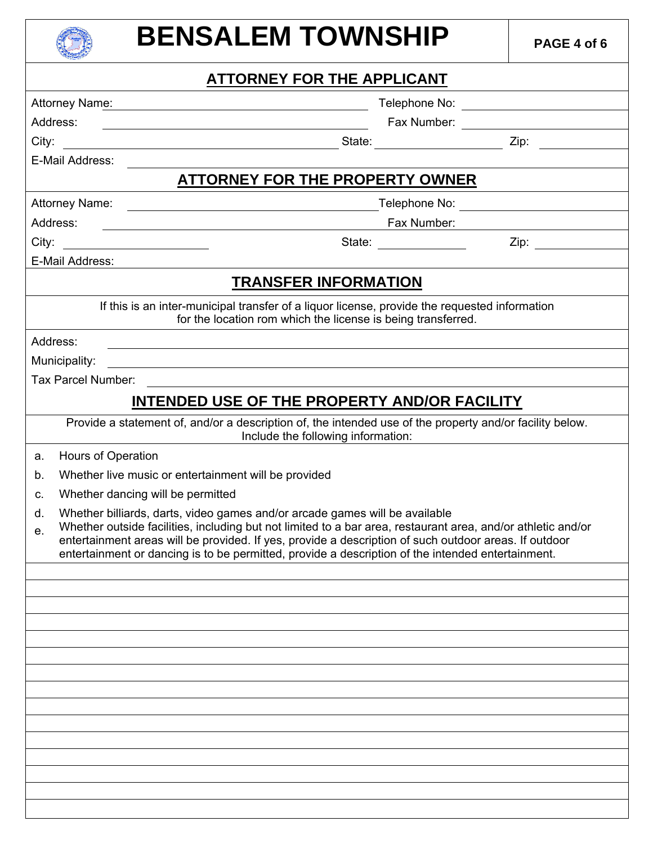### **BENSALEM TOWNSHIP** PAGE 4 of 6

|                                                                                                                                                                                                                                                                                                                                                                                                                       |                                                                                                                                         | <b>ATTORNEY FOR THE APPLICANT</b>                            |               |
|-----------------------------------------------------------------------------------------------------------------------------------------------------------------------------------------------------------------------------------------------------------------------------------------------------------------------------------------------------------------------------------------------------------------------|-----------------------------------------------------------------------------------------------------------------------------------------|--------------------------------------------------------------|---------------|
|                                                                                                                                                                                                                                                                                                                                                                                                                       | Attorney Name:<br><u> 1989 - Johann Barn, mars ann an t-Amhain an t-Amhain an t-Amhain an t-Amhain an t-Amhain an t-Amhain an t-Amh</u> |                                                              | Telephone No: |
|                                                                                                                                                                                                                                                                                                                                                                                                                       | Address:<br><u> 1980 - Jan Barbara Barbara, manazarta da kasas da shekara 1980 - André a Santa Barbara a Santa Barbara a San</u>        |                                                              |               |
| City:                                                                                                                                                                                                                                                                                                                                                                                                                 |                                                                                                                                         |                                                              |               |
|                                                                                                                                                                                                                                                                                                                                                                                                                       | E-Mail Address:                                                                                                                         |                                                              |               |
|                                                                                                                                                                                                                                                                                                                                                                                                                       |                                                                                                                                         | <b>ATTORNEY FOR THE PROPERTY OWNER</b>                       |               |
|                                                                                                                                                                                                                                                                                                                                                                                                                       |                                                                                                                                         |                                                              |               |
|                                                                                                                                                                                                                                                                                                                                                                                                                       | Address:<br><u> 1980 - Jan Samuel Barbara, poeta establecea establecea establecea establecea establecea establecea establecea</u>       | Fax Number:                                                  |               |
|                                                                                                                                                                                                                                                                                                                                                                                                                       |                                                                                                                                         | State: ______________                                        |               |
|                                                                                                                                                                                                                                                                                                                                                                                                                       | E-Mail Address:                                                                                                                         |                                                              |               |
|                                                                                                                                                                                                                                                                                                                                                                                                                       |                                                                                                                                         | <b>TRANSFER INFORMATION</b>                                  |               |
|                                                                                                                                                                                                                                                                                                                                                                                                                       | If this is an inter-municipal transfer of a liquor license, provide the requested information                                           | for the location rom which the license is being transferred. |               |
|                                                                                                                                                                                                                                                                                                                                                                                                                       | Address:<br><u> 1989 - Johann Stoff, deutscher Stoffen und der Stoffen und der Stoffen und der Stoffen und der Stoffen und der</u>      |                                                              |               |
|                                                                                                                                                                                                                                                                                                                                                                                                                       | Municipality:<br><u> 1980 - Johann Barn, mars ann an t-Amhain Aonaich ann an t-Aonaich ann an t-Aonaich ann an t-Aonaich ann an t-</u>  |                                                              |               |
|                                                                                                                                                                                                                                                                                                                                                                                                                       | Tax Parcel Number:                                                                                                                      |                                                              |               |
|                                                                                                                                                                                                                                                                                                                                                                                                                       | INTENDED USE OF THE PROPERTY AND/OR FACILITY                                                                                            |                                                              |               |
|                                                                                                                                                                                                                                                                                                                                                                                                                       | Provide a statement of, and/or a description of, the intended use of the property and/or facility below.                                | Include the following information:                           |               |
| a.                                                                                                                                                                                                                                                                                                                                                                                                                    | Hours of Operation                                                                                                                      |                                                              |               |
| b.                                                                                                                                                                                                                                                                                                                                                                                                                    | Whether live music or entertainment will be provided                                                                                    |                                                              |               |
| C.                                                                                                                                                                                                                                                                                                                                                                                                                    | Whether dancing will be permitted                                                                                                       |                                                              |               |
| Whether billiards, darts, video games and/or arcade games will be available<br>d.<br>Whether outside facilities, including but not limited to a bar area, restaurant area, and/or athletic and/or<br>e.<br>entertainment areas will be provided. If yes, provide a description of such outdoor areas. If outdoor<br>entertainment or dancing is to be permitted, provide a description of the intended entertainment. |                                                                                                                                         |                                                              |               |
|                                                                                                                                                                                                                                                                                                                                                                                                                       |                                                                                                                                         |                                                              |               |
|                                                                                                                                                                                                                                                                                                                                                                                                                       |                                                                                                                                         |                                                              |               |
|                                                                                                                                                                                                                                                                                                                                                                                                                       |                                                                                                                                         |                                                              |               |
|                                                                                                                                                                                                                                                                                                                                                                                                                       |                                                                                                                                         |                                                              |               |
|                                                                                                                                                                                                                                                                                                                                                                                                                       |                                                                                                                                         |                                                              |               |
|                                                                                                                                                                                                                                                                                                                                                                                                                       |                                                                                                                                         |                                                              |               |
|                                                                                                                                                                                                                                                                                                                                                                                                                       |                                                                                                                                         |                                                              |               |
|                                                                                                                                                                                                                                                                                                                                                                                                                       |                                                                                                                                         |                                                              |               |
|                                                                                                                                                                                                                                                                                                                                                                                                                       |                                                                                                                                         |                                                              |               |
|                                                                                                                                                                                                                                                                                                                                                                                                                       |                                                                                                                                         |                                                              |               |
|                                                                                                                                                                                                                                                                                                                                                                                                                       |                                                                                                                                         |                                                              |               |
|                                                                                                                                                                                                                                                                                                                                                                                                                       |                                                                                                                                         |                                                              |               |
|                                                                                                                                                                                                                                                                                                                                                                                                                       |                                                                                                                                         |                                                              |               |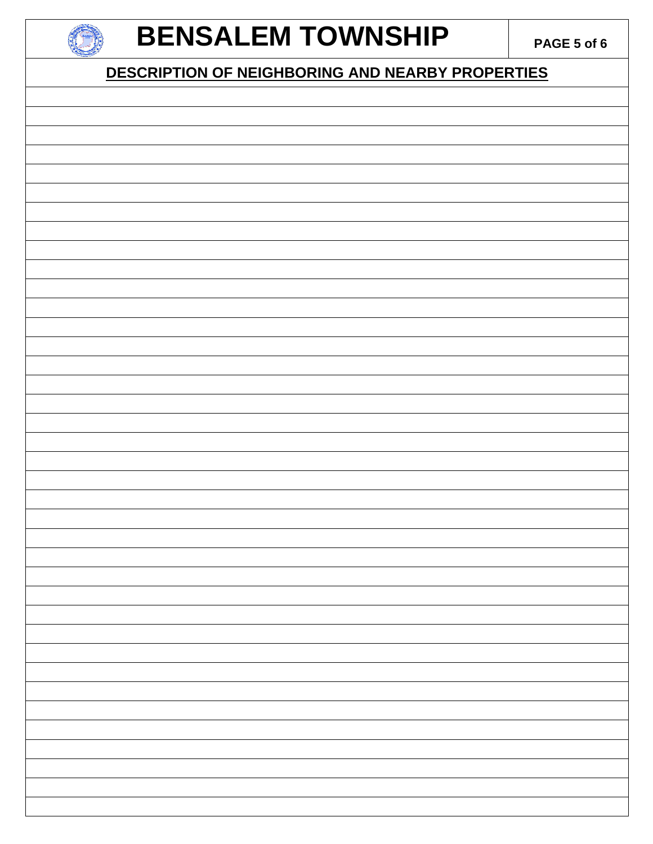

#### **BENSALEM TOWNSHIP** PAGE 5 of 6

#### **DESCRIPTION OF NEIGHBORING AND NEARBY PROPERTIES**